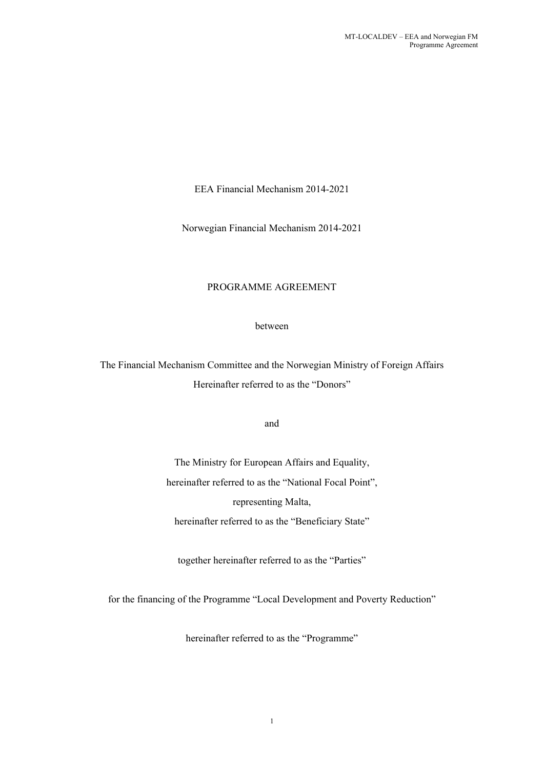EEA Financial Mechanism 2014-2021

Norwegian Financial Mechanism 2014-2021

# PROGRAMME AGREEMENT

between

The Financial Mechanism Committee and the Norwegian Ministry of Foreign Affairs Hereinafter referred to as the "Donors"

and

The Ministry for European Affairs and Equality, hereinafter referred to as the "National Focal Point", representing Malta, hereinafter referred to as the "Beneficiary State"

together hereinafter referred to as the "Parties"

for the financing of the Programme "Local Development and Poverty Reduction"

hereinafter referred to as the "Programme"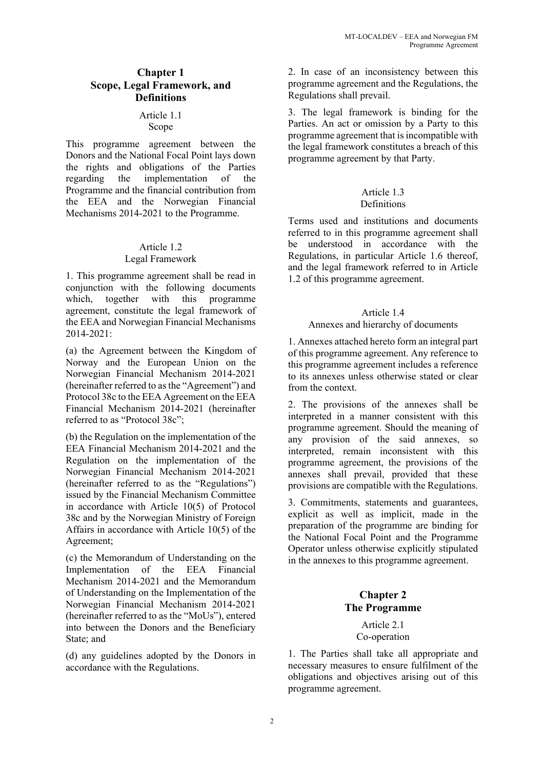### **Chapter 1 Scope, Legal Framework, and Definitions**

#### Article 1.1 Scope

This programme agreement between the Donors and the National Focal Point lays down the rights and obligations of the Parties regarding the implementation of the Programme and the financial contribution from the EEA and the Norwegian Financial Mechanisms 2014-2021 to the Programme.

# Article 1.2 Legal Framework

1. This programme agreement shall be read in conjunction with the following documents which, together with this programme agreement, constitute the legal framework of the EEA and Norwegian Financial Mechanisms 2014-2021:

(a) the Agreement between the Kingdom of Norway and the European Union on the Norwegian Financial Mechanism 2014-2021 (hereinafter referred to as the "Agreement") and Protocol 38c to the EEA Agreement on the EEA Financial Mechanism 2014-2021 (hereinafter referred to as "Protocol 38c";

(b) the Regulation on the implementation of the EEA Financial Mechanism 2014-2021 and the Regulation on the implementation of the Norwegian Financial Mechanism 2014-2021 (hereinafter referred to as the "Regulations") issued by the Financial Mechanism Committee in accordance with Article 10(5) of Protocol 38c and by the Norwegian Ministry of Foreign Affairs in accordance with Article 10(5) of the Agreement;

(c) the Memorandum of Understanding on the Implementation of the EEA Financial Mechanism 2014-2021 and the Memorandum of Understanding on the Implementation of the Norwegian Financial Mechanism 2014-2021 (hereinafter referred to as the "MoUs"), entered into between the Donors and the Beneficiary State; and

(d) any guidelines adopted by the Donors in accordance with the Regulations.

2. In case of an inconsistency between this programme agreement and the Regulations, the Regulations shall prevail.

3. The legal framework is binding for the Parties. An act or omission by a Party to this programme agreement that is incompatible with the legal framework constitutes a breach of this programme agreement by that Party.

#### Article 1.3 Definitions

Terms used and institutions and documents referred to in this programme agreement shall be understood in accordance with the Regulations, in particular Article 1.6 thereof, and the legal framework referred to in Article 1.2 of this programme agreement.

# Article 1.4

# Annexes and hierarchy of documents

1. Annexes attached hereto form an integral part of this programme agreement. Any reference to this programme agreement includes a reference to its annexes unless otherwise stated or clear from the context.

2. The provisions of the annexes shall be interpreted in a manner consistent with this programme agreement. Should the meaning of any provision of the said annexes, so interpreted, remain inconsistent with this programme agreement, the provisions of the annexes shall prevail, provided that these provisions are compatible with the Regulations.

3. Commitments, statements and guarantees, explicit as well as implicit, made in the preparation of the programme are binding for the National Focal Point and the Programme Operator unless otherwise explicitly stipulated in the annexes to this programme agreement.

# **Chapter 2 The Programme**

#### Article 2.1 Co-operation

1. The Parties shall take all appropriate and necessary measures to ensure fulfilment of the obligations and objectives arising out of this programme agreement.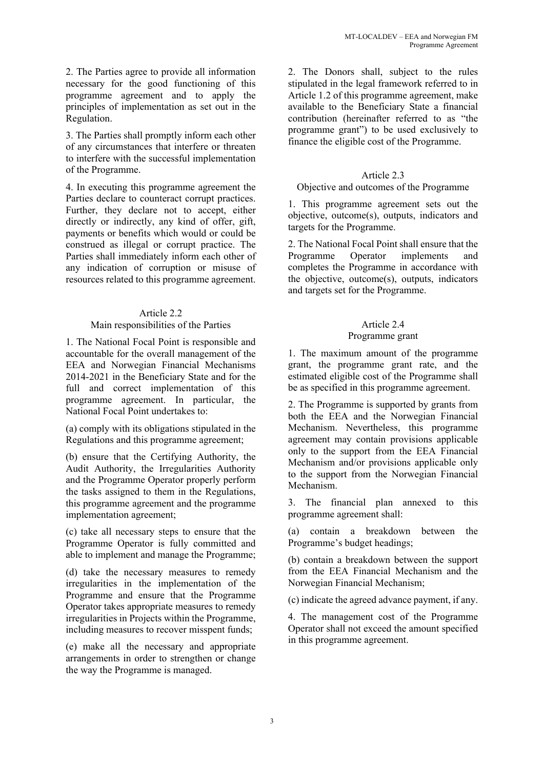2. The Parties agree to provide all information necessary for the good functioning of this programme agreement and to apply the principles of implementation as set out in the Regulation.

3. The Parties shall promptly inform each other of any circumstances that interfere or threaten to interfere with the successful implementation of the Programme.

4. In executing this programme agreement the Parties declare to counteract corrupt practices. Further, they declare not to accept, either directly or indirectly, any kind of offer, gift, payments or benefits which would or could be construed as illegal or corrupt practice. The Parties shall immediately inform each other of any indication of corruption or misuse of resources related to this programme agreement.

#### Article 2.2

#### Main responsibilities of the Parties

1. The National Focal Point is responsible and accountable for the overall management of the EEA and Norwegian Financial Mechanisms 2014-2021 in the Beneficiary State and for the full and correct implementation of this programme agreement. In particular, the National Focal Point undertakes to:

(a) comply with its obligations stipulated in the Regulations and this programme agreement;

(b) ensure that the Certifying Authority, the Audit Authority, the Irregularities Authority and the Programme Operator properly perform the tasks assigned to them in the Regulations, this programme agreement and the programme implementation agreement;

(c) take all necessary steps to ensure that the Programme Operator is fully committed and able to implement and manage the Programme;

(d) take the necessary measures to remedy irregularities in the implementation of the Programme and ensure that the Programme Operator takes appropriate measures to remedy irregularities in Projects within the Programme, including measures to recover misspent funds;

(e) make all the necessary and appropriate arrangements in order to strengthen or change the way the Programme is managed.

2. The Donors shall, subject to the rules stipulated in the legal framework referred to in Article 1.2 of this programme agreement, make available to the Beneficiary State a financial contribution (hereinafter referred to as "the programme grant") to be used exclusively to finance the eligible cost of the Programme.

#### Article 2.3

#### Objective and outcomes of the Programme

1. This programme agreement sets out the objective, outcome(s), outputs, indicators and targets for the Programme.

2. The National Focal Point shall ensure that the Programme Operator implements and completes the Programme in accordance with the objective, outcome(s), outputs, indicators and targets set for the Programme.

# Article 2.4

### Programme grant

1. The maximum amount of the programme grant, the programme grant rate, and the estimated eligible cost of the Programme shall be as specified in this programme agreement.

2. The Programme is supported by grants from both the EEA and the Norwegian Financial Mechanism. Nevertheless, this programme agreement may contain provisions applicable only to the support from the EEA Financial Mechanism and/or provisions applicable only to the support from the Norwegian Financial Mechanism.

3. The financial plan annexed to this programme agreement shall:

(a) contain a breakdown between the Programme's budget headings;

(b) contain a breakdown between the support from the EEA Financial Mechanism and the Norwegian Financial Mechanism;

(c) indicate the agreed advance payment, if any.

4. The management cost of the Programme Operator shall not exceed the amount specified in this programme agreement.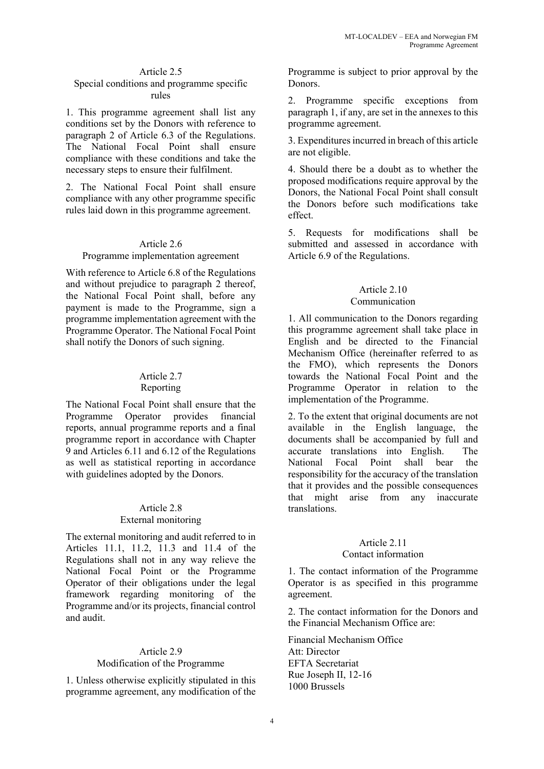### Article 2.5 Special conditions and programme specific

#### rules

1. This programme agreement shall list any conditions set by the Donors with reference to paragraph 2 of Article 6.3 of the Regulations. The National Focal Point shall ensure compliance with these conditions and take the necessary steps to ensure their fulfilment.

2. The National Focal Point shall ensure compliance with any other programme specific rules laid down in this programme agreement.

#### Article 2.6

#### Programme implementation agreement

With reference to Article 6.8 of the Regulations and without prejudice to paragraph 2 thereof, the National Focal Point shall, before any payment is made to the Programme, sign a programme implementation agreement with the Programme Operator. The National Focal Point shall notify the Donors of such signing.

# Article 2.7

#### Reporting

The National Focal Point shall ensure that the Programme Operator provides financial reports, annual programme reports and a final programme report in accordance with Chapter 9 and Articles 6.11 and 6.12 of the Regulations as well as statistical reporting in accordance with guidelines adopted by the Donors.

#### Article 2.8 External monitoring

The external monitoring and audit referred to in Articles 11.1, 11.2, 11.3 and 11.4 of the Regulations shall not in any way relieve the National Focal Point or the Programme Operator of their obligations under the legal framework regarding monitoring of the Programme and/or its projects, financial control and audit.

# Article 2.9 Modification of the Programme

1. Unless otherwise explicitly stipulated in this programme agreement, any modification of the

Programme is subject to prior approval by the Donors.

2. Programme specific exceptions from paragraph 1, if any, are set in the annexes to this programme agreement.

3. Expenditures incurred in breach of this article are not eligible.

4. Should there be a doubt as to whether the proposed modifications require approval by the Donors, the National Focal Point shall consult the Donors before such modifications take effect.

5. Requests for modifications shall be submitted and assessed in accordance with Article 6.9 of the Regulations.

### Article 2.10 Communication

1. All communication to the Donors regarding this programme agreement shall take place in English and be directed to the Financial Mechanism Office (hereinafter referred to as the FMO), which represents the Donors towards the National Focal Point and the Programme Operator in relation to the implementation of the Programme.

2. To the extent that original documents are not available in the English language, the documents shall be accompanied by full and accurate translations into English. The National Focal Point shall bear the responsibility for the accuracy of the translation that it provides and the possible consequences that might arise from any inaccurate translations.

# Article 2.11

#### Contact information

1. The contact information of the Programme Operator is as specified in this programme agreement.

2. The contact information for the Donors and the Financial Mechanism Office are:

Financial Mechanism Office Att: Director EFTA Secretariat Rue Joseph II, 12-16 1000 Brussels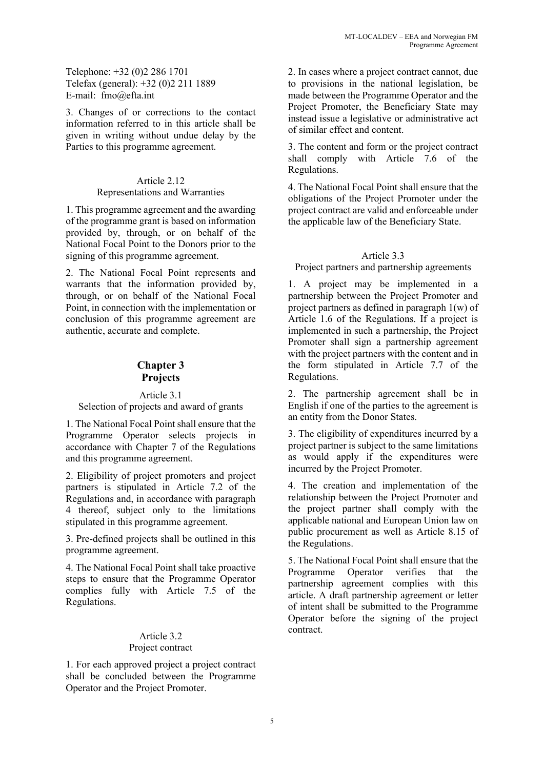Telephone: +32 (0)2 286 1701 Telefax (general): +32 (0)2 211 1889 E-mail: fmo@efta.int

3. Changes of or corrections to the contact information referred to in this article shall be given in writing without undue delay by the Parties to this programme agreement.

### Article 2.12

#### Representations and Warranties

1. This programme agreement and the awarding of the programme grant is based on information provided by, through, or on behalf of the National Focal Point to the Donors prior to the signing of this programme agreement.

2. The National Focal Point represents and warrants that the information provided by, through, or on behalf of the National Focal Point, in connection with the implementation or conclusion of this programme agreement are authentic, accurate and complete.

# **Chapter 3 Projects**

#### Article 3.1

# Selection of projects and award of grants

1. The National Focal Point shall ensure that the Programme Operator selects projects in accordance with Chapter 7 of the Regulations and this programme agreement.

2. Eligibility of project promoters and project partners is stipulated in Article 7.2 of the Regulations and, in accordance with paragraph 4 thereof, subject only to the limitations stipulated in this programme agreement.

3. Pre-defined projects shall be outlined in this programme agreement.

4. The National Focal Point shall take proactive steps to ensure that the Programme Operator complies fully with Article 7.5 of the Regulations.

#### Article 3.2 Project contract

1. For each approved project a project contract shall be concluded between the Programme Operator and the Project Promoter.

2. In cases where a project contract cannot, due to provisions in the national legislation, be made between the Programme Operator and the Project Promoter, the Beneficiary State may instead issue a legislative or administrative act of similar effect and content.

3. The content and form or the project contract shall comply with Article 7.6 of the Regulations.

4. The National Focal Point shall ensure that the obligations of the Project Promoter under the project contract are valid and enforceable under the applicable law of the Beneficiary State.

# Article 3.3

# Project partners and partnership agreements

1. A project may be implemented in a partnership between the Project Promoter and project partners as defined in paragraph 1(w) of Article 1.6 of the Regulations. If a project is implemented in such a partnership, the Project Promoter shall sign a partnership agreement with the project partners with the content and in the form stipulated in Article 7.7 of the Regulations.

2. The partnership agreement shall be in English if one of the parties to the agreement is an entity from the Donor States.

3. The eligibility of expenditures incurred by a project partner is subject to the same limitations as would apply if the expenditures were incurred by the Project Promoter.

4. The creation and implementation of the relationship between the Project Promoter and the project partner shall comply with the applicable national and European Union law on public procurement as well as Article 8.15 of the Regulations.

5. The National Focal Point shall ensure that the Programme Operator verifies that the partnership agreement complies with this article. A draft partnership agreement or letter of intent shall be submitted to the Programme Operator before the signing of the project contract.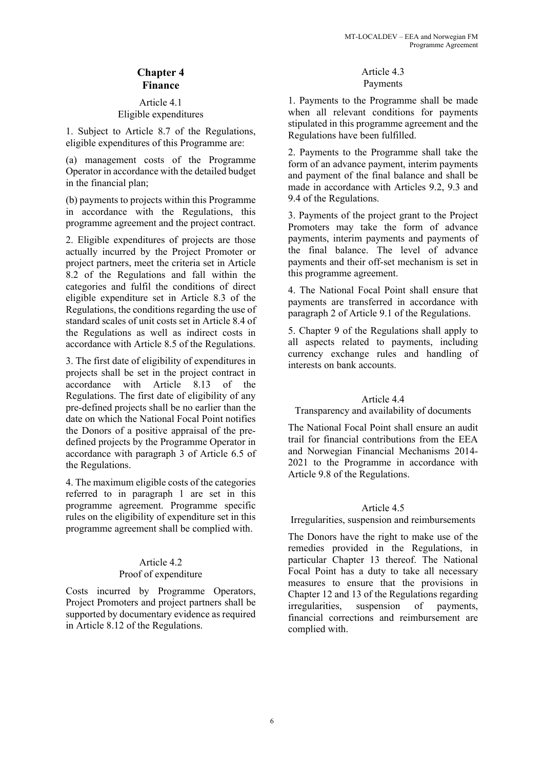# **Chapter 4 Finance**

### Article 4.1 Eligible expenditures

1. Subject to Article 8.7 of the Regulations, eligible expenditures of this Programme are:

(a) management costs of the Programme Operator in accordance with the detailed budget in the financial plan;

(b) payments to projects within this Programme in accordance with the Regulations, this programme agreement and the project contract.

2. Eligible expenditures of projects are those actually incurred by the Project Promoter or project partners, meet the criteria set in Article 8.2 of the Regulations and fall within the categories and fulfil the conditions of direct eligible expenditure set in Article 8.3 of the Regulations, the conditions regarding the use of standard scales of unit costs set in Article 8.4 of the Regulations as well as indirect costs in accordance with Article 8.5 of the Regulations.

3. The first date of eligibility of expenditures in projects shall be set in the project contract in accordance with Article 8.13 of the Regulations. The first date of eligibility of any pre-defined projects shall be no earlier than the date on which the National Focal Point notifies the Donors of a positive appraisal of the predefined projects by the Programme Operator in accordance with paragraph 3 of Article 6.5 of the Regulations.

4. The maximum eligible costs of the categories referred to in paragraph 1 are set in this programme agreement. Programme specific rules on the eligibility of expenditure set in this programme agreement shall be complied with.

# Article 4.2

# Proof of expenditure

Costs incurred by Programme Operators, Project Promoters and project partners shall be supported by documentary evidence as required in Article 8.12 of the Regulations.

# Article 4.3 Payments

1. Payments to the Programme shall be made when all relevant conditions for payments stipulated in this programme agreement and the Regulations have been fulfilled.

2. Payments to the Programme shall take the form of an advance payment, interim payments and payment of the final balance and shall be made in accordance with Articles 9.2, 9.3 and 9.4 of the Regulations.

3. Payments of the project grant to the Project Promoters may take the form of advance payments, interim payments and payments of the final balance. The level of advance payments and their off-set mechanism is set in this programme agreement.

4. The National Focal Point shall ensure that payments are transferred in accordance with paragraph 2 of Article 9.1 of the Regulations.

5. Chapter 9 of the Regulations shall apply to all aspects related to payments, including currency exchange rules and handling of interests on bank accounts.

# Article 4.4

# Transparency and availability of documents

The National Focal Point shall ensure an audit trail for financial contributions from the EEA and Norwegian Financial Mechanisms 2014- 2021 to the Programme in accordance with Article 9.8 of the Regulations.

# Article 4.5

Irregularities, suspension and reimbursements

The Donors have the right to make use of the remedies provided in the Regulations, in particular Chapter 13 thereof. The National Focal Point has a duty to take all necessary measures to ensure that the provisions in Chapter 12 and 13 of the Regulations regarding irregularities, suspension of payments, financial corrections and reimbursement are complied with.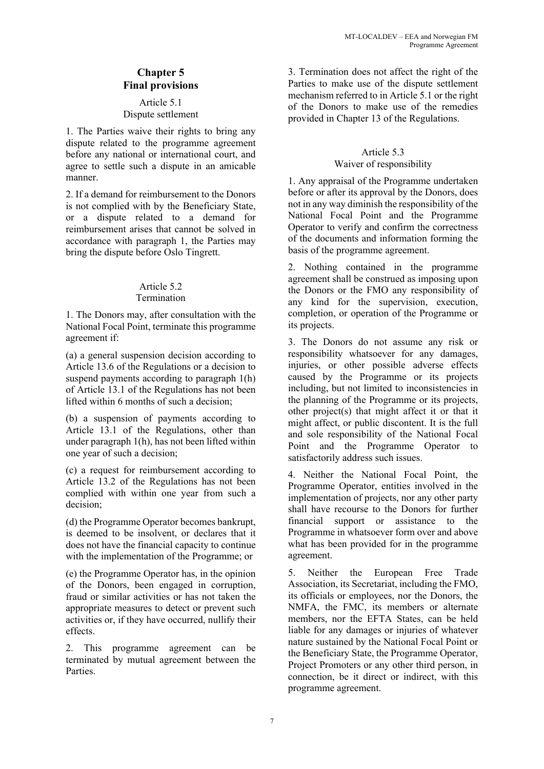# **Chapter 5 Final provisions**

#### Article 5.1 Dispute settlement

1. The Parties waive their rights to bring any dispute related to the programme agreement before any national or international court, and agree to settle such a dispute in an amicable manner.

2. If a demand for reimbursement to the Donors is not complied with by the Beneficiary State, or a dispute related to a demand for reimbursement arises that cannot be solved in accordance with paragraph 1, the Parties may bring the dispute before Oslo Tingrett.

#### Article 5.2 **Termination**

1. The Donors may, after consultation with the National Focal Point, terminate this programme agreement if:

(a) a general suspension decision according to Article 13.6 of the Regulations or a decision to suspend payments according to paragraph 1(h) of Article 13.1 of the Regulations has not been lifted within 6 months of such a decision;

(b) a suspension of payments according to Article 13.1 of the Regulations, other than under paragraph 1(h), has not been lifted within one year of such a decision;

(c) a request for reimbursement according to Article 13.2 of the Regulations has not been complied with within one year from such a decision;

(d) the Programme Operator becomes bankrupt, is deemed to be insolvent, or declares that it does not have the financial capacity to continue with the implementation of the Programme; or

(e) the Programme Operator has, in the opinion of the Donors, been engaged in corruption, fraud or similar activities or has not taken the appropriate measures to detect or prevent such activities or, if they have occurred, nullify their effects.

2. This programme agreement can be terminated by mutual agreement between the Parties.

3. Termination does not affect the right of the Parties to make use of the dispute settlement mechanism referred to in Article 5.1 or the right of the Donors to make use of the remedies provided in Chapter 13 of the Regulations.

# Article 5.3 Waiver of responsibility

1. Any appraisal of the Programme undertaken before or after its approval by the Donors, does not in any way diminish the responsibility of the National Focal Point and the Programme Operator to verify and confirm the correctness of the documents and information forming the basis of the programme agreement.

2. Nothing contained in the programme agreement shall be construed as imposing upon the Donors or the FMO any responsibility of any kind for the supervision, execution, completion, or operation of the Programme or its projects.

3. The Donors do not assume any risk or responsibility whatsoever for any damages, injuries, or other possible adverse effects caused by the Programme or its projects including, but not limited to inconsistencies in the planning of the Programme or its projects, other project(s) that might affect it or that it might affect, or public discontent. It is the full and sole responsibility of the National Focal Point and the Programme Operator to satisfactorily address such issues.

4. Neither the National Focal Point, the Programme Operator, entities involved in the implementation of projects, nor any other party shall have recourse to the Donors for further financial support or assistance to the Programme in whatsoever form over and above what has been provided for in the programme agreement.

5. Neither the European Free Trade Association, its Secretariat, including the FMO, its officials or employees, nor the Donors, the NMFA, the FMC, its members or alternate members, nor the EFTA States, can be held liable for any damages or injuries of whatever nature sustained by the National Focal Point or the Beneficiary State, the Programme Operator, Project Promoters or any other third person, in connection, be it direct or indirect, with this programme agreement.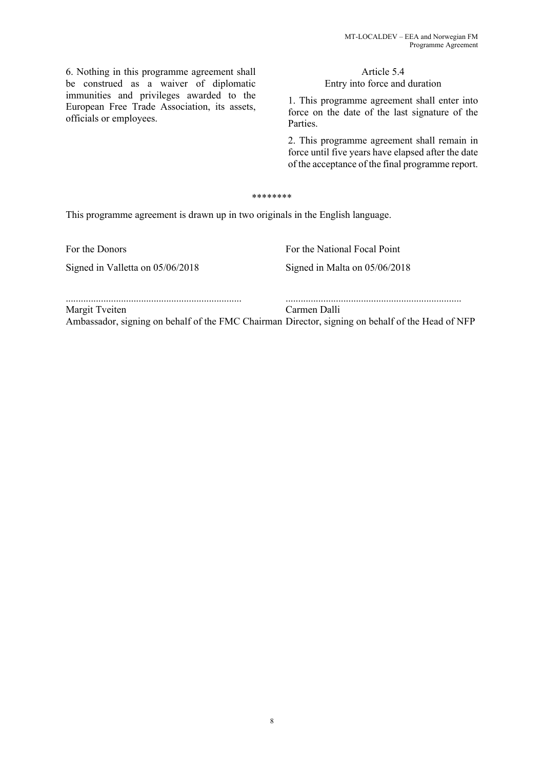6. Nothing in this programme agreement shall be construed as a waiver of diplomatic immunities and privileges awarded to the European Free Trade Association, its assets, officials or employees.

# Article 5.4 Entry into force and duration

1. This programme agreement shall enter into force on the date of the last signature of the Parties.

2. This programme agreement shall remain in force until five years have elapsed after the date of the acceptance of the final programme report.

#### \*\*\*\*\*\*\*\*

This programme agreement is drawn up in two originals in the English language.

Signed in Valletta on 05/06/2018 Signed in Malta on 05/06/2018

For the Donors **For the National Focal Point** 

| Margit Tveiten                                                                                   | Carmen Dalli |
|--------------------------------------------------------------------------------------------------|--------------|
| Ambassador, signing on behalf of the FMC Chairman Director, signing on behalf of the Head of NFP |              |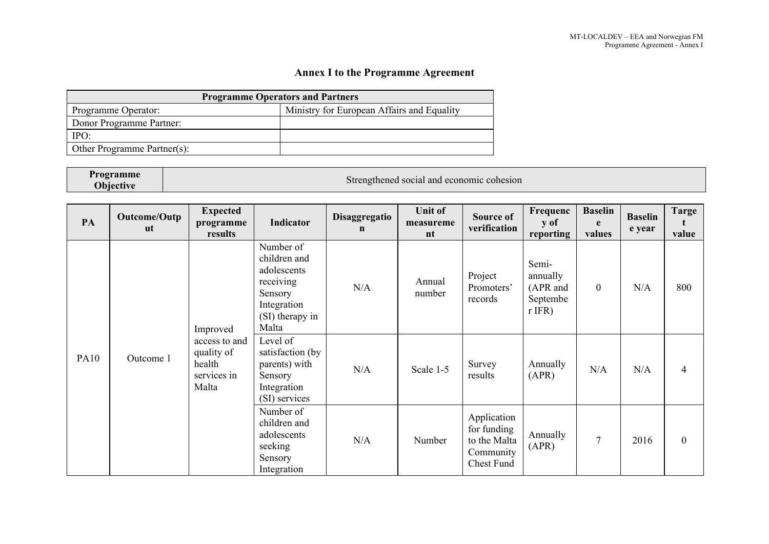# **Annex I to the Programme Agreement**

| <b>Programme Operators and Partners</b> |                                            |  |  |  |  |  |  |  |
|-----------------------------------------|--------------------------------------------|--|--|--|--|--|--|--|
| Programme Operator:                     | Ministry for European Affairs and Equality |  |  |  |  |  |  |  |
| Donor Programme Partner:                |                                            |  |  |  |  |  |  |  |
| IPO:                                    |                                            |  |  |  |  |  |  |  |
| Other Programme Partner(s):             |                                            |  |  |  |  |  |  |  |

| Programme        | Strengthened social and economic cohesion |
|------------------|-------------------------------------------|
| <b>Objective</b> |                                           |

| PA          | Outcome/Outp<br>ut | <b>Expected</b><br>programme<br>results                                                                                                                                                                                                                                                                                                                  | Indicator | Disaggregatio<br>$\mathbf n$ | <b>Unit of</b><br>measureme<br>nt                                     | Source of<br>verification        | Frequenc<br>y of<br>reporting                         | <b>Baselin</b><br>e<br>values | <b>Baselin</b><br>e year | <b>Targe</b><br>value |
|-------------|--------------------|----------------------------------------------------------------------------------------------------------------------------------------------------------------------------------------------------------------------------------------------------------------------------------------------------------------------------------------------------------|-----------|------------------------------|-----------------------------------------------------------------------|----------------------------------|-------------------------------------------------------|-------------------------------|--------------------------|-----------------------|
| <b>PA10</b> | Outcome 1          | children and<br>adolescents<br>receiving<br>Sensory<br>Integration<br>(SI) therapy in<br>Malta<br>Improved<br>Level of<br>access to and<br>quality of<br>satisfaction (by<br>health<br>parents) with<br>services in<br>Sensory<br>Malta<br>Integration<br>(SI) services<br>Number of<br>children and<br>adolescents<br>seeking<br>Sensory<br>Integration | Number of | N/A                          | Annual<br>number                                                      | Project<br>Promoters'<br>records | Semi-<br>annually<br>(APR and<br>Septembe<br>$r$ IFR) | $\boldsymbol{0}$              | N/A                      | 800                   |
|             |                    |                                                                                                                                                                                                                                                                                                                                                          |           | N/A                          | Scale 1-5                                                             | Survey<br>results                | Annually<br>(APR)                                     | N/A                           | N/A                      | $\overline{4}$        |
|             |                    |                                                                                                                                                                                                                                                                                                                                                          | N/A       | Number                       | Application<br>for funding<br>to the Malta<br>Community<br>Chest Fund | Annually<br>(APR)                | $\overline{7}$                                        | 2016                          | $\mathbf{0}$             |                       |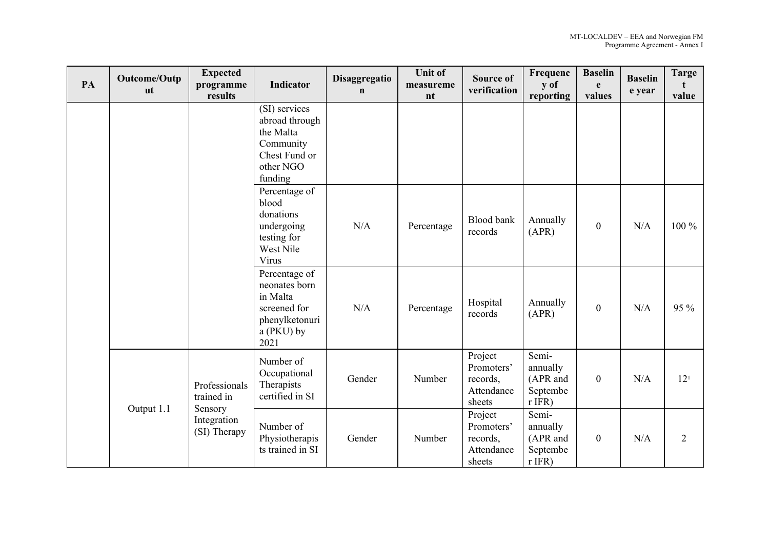| PA | Outcome/Outp<br><b>ut</b> | <b>Expected</b><br>programme<br>results | <b>Indicator</b>                                                                                   | Disaggregatio<br>$\mathbf n$ | <b>Unit of</b><br>measureme<br>nt | <b>Source of</b><br>verification                          | Frequenc<br>y of<br>reporting                         | <b>Baselin</b><br>e<br>values | <b>Baselin</b><br>e year | <b>Targe</b><br>value |
|----|---------------------------|-----------------------------------------|----------------------------------------------------------------------------------------------------|------------------------------|-----------------------------------|-----------------------------------------------------------|-------------------------------------------------------|-------------------------------|--------------------------|-----------------------|
|    |                           |                                         | (SI) services<br>abroad through<br>the Malta<br>Community<br>Chest Fund or<br>other NGO<br>funding |                              |                                   |                                                           |                                                       |                               |                          |                       |
|    |                           |                                         | Percentage of<br>blood<br>donations<br>undergoing<br>testing for<br>West Nile<br>Virus             | N/A                          | Percentage                        | Blood bank<br>records                                     | Annually<br>(APR)                                     | $\boldsymbol{0}$              | N/A                      | $100\%$               |
|    |                           |                                         | Percentage of<br>neonates born<br>in Malta<br>screened for<br>phenylketonuri<br>a (PKU) by<br>2021 | N/A                          | Percentage                        | Hospital<br>records                                       | Annually<br>(APR)                                     | $\theta$                      | N/A                      | 95 %                  |
|    | Output 1.1                | Professionals<br>trained in             | Number of<br>Occupational<br>Therapists<br>certified in SI                                         | Gender                       | Number                            | Project<br>Promoters'<br>records,<br>Attendance<br>sheets | Semi-<br>annually<br>(APR and<br>Septembe<br>$r$ IFR) | $\mathbf{0}$                  | N/A                      | 12 <sup>1</sup>       |
|    |                           | Sensory<br>Integration<br>(SI) Therapy  | Number of<br>Physiotherapis<br>ts trained in SI                                                    | Gender                       | Number                            | Project<br>Promoters'<br>records,<br>Attendance<br>sheets | Semi-<br>annually<br>(APR and<br>Septembe<br>$r$ IFR) | $\mathbf{0}$                  | N/A                      | $\overline{2}$        |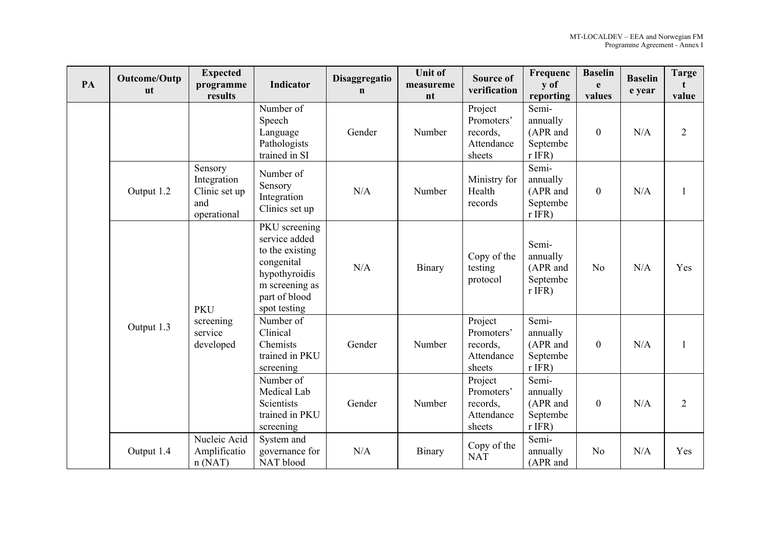| PA | Outcome/Outp<br><b>ut</b> | <b>Expected</b><br>programme<br>results                       | <b>Indicator</b>                                                                                                                    | Disaggregatio<br>$\mathbf n$ | <b>Unit of</b><br>measureme<br>nt | <b>Source of</b><br>verification                          | Frequenc<br>y of<br>reporting                         | <b>Baselin</b><br>e<br>values | <b>Baselin</b><br>e year | <b>Targe</b><br>value |
|----|---------------------------|---------------------------------------------------------------|-------------------------------------------------------------------------------------------------------------------------------------|------------------------------|-----------------------------------|-----------------------------------------------------------|-------------------------------------------------------|-------------------------------|--------------------------|-----------------------|
|    |                           |                                                               | Number of<br>Speech<br>Language<br>Pathologists<br>trained in SI                                                                    | Gender                       | Number                            | Project<br>Promoters'<br>records,<br>Attendance<br>sheets | Semi-<br>annually<br>(APR and<br>Septembe<br>$r$ IFR) | $\mathbf{0}$                  | N/A                      | $\overline{2}$        |
|    | Output 1.2                | Sensory<br>Integration<br>Clinic set up<br>and<br>operational | Number of<br>Sensory<br>Integration<br>Clinics set up                                                                               | N/A                          | Number                            | Ministry for<br>Health<br>records                         | Semi-<br>annually<br>(APR and<br>Septembe<br>$r$ IFR) | $\boldsymbol{0}$              | N/A                      |                       |
|    |                           | <b>PKU</b>                                                    | PKU screening<br>service added<br>to the existing<br>congenital<br>hypothyroidis<br>m screening as<br>part of blood<br>spot testing | N/A                          | Binary                            | Copy of the<br>testing<br>protocol                        | Semi-<br>annually<br>(APR and<br>Septembe<br>$r$ IFR) | N <sub>o</sub>                | N/A                      | Yes                   |
|    | Output 1.3                | screening<br>service<br>developed                             | Number of<br>Clinical<br>Chemists<br>trained in PKU<br>screening                                                                    | Gender                       | Number                            | Project<br>Promoters'<br>records,<br>Attendance<br>sheets | Semi-<br>annually<br>(APR and<br>Septembe<br>$r$ IFR) | $\mathbf{0}$                  | N/A                      |                       |
|    |                           |                                                               | Number of<br>Medical Lab<br>Scientists<br>trained in PKU<br>screening                                                               | Gender                       | Number                            | Project<br>Promoters'<br>records,<br>Attendance<br>sheets | Semi-<br>annually<br>(APR and<br>Septembe<br>$r$ IFR) | $\mathbf{0}$                  | N/A                      | $\overline{2}$        |
|    | Output 1.4                | Nucleic Acid<br>Amplificatio<br>n(NAT)                        | System and<br>governance for<br>NAT blood                                                                                           | N/A                          | Binary                            | Copy of the<br><b>NAT</b>                                 | Semi-<br>annually<br>(APR and                         | N <sub>o</sub>                | N/A                      | Yes                   |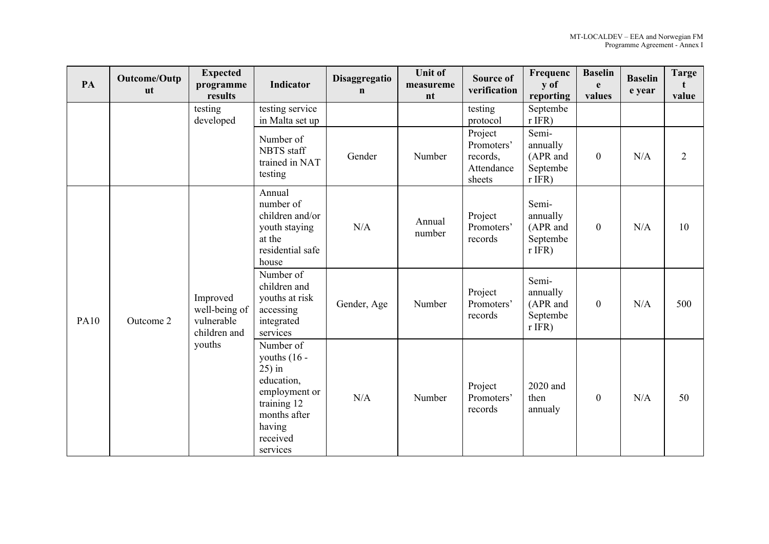| PA          | Outcome/Outp<br><b>ut</b> | <b>Expected</b><br>programme<br>results                 | <b>Indicator</b>                                                                                                                         | Disaggregatio<br>$\mathbf n$ | <b>Unit of</b><br>measureme<br>nt | <b>Source of</b><br>verification                          | Frequenc<br>y of<br>reporting                         | <b>Baselin</b><br>e<br>values | <b>Baselin</b><br>e year | <b>Targe</b><br>value |
|-------------|---------------------------|---------------------------------------------------------|------------------------------------------------------------------------------------------------------------------------------------------|------------------------------|-----------------------------------|-----------------------------------------------------------|-------------------------------------------------------|-------------------------------|--------------------------|-----------------------|
|             |                           | testing<br>developed                                    | testing service<br>in Malta set up                                                                                                       |                              |                                   | testing<br>protocol                                       | Septembe<br>$r$ IFR)                                  |                               |                          |                       |
|             |                           |                                                         | Number of<br>NBTS staff<br>trained in NAT<br>testing                                                                                     | Gender                       | Number                            | Project<br>Promoters'<br>records,<br>Attendance<br>sheets | Semi-<br>annually<br>(APR and<br>Septembe<br>$r$ IFR) | $\boldsymbol{0}$              | N/A                      | 2                     |
| <b>PA10</b> | Outcome 2                 | Improved<br>well-being of<br>vulnerable<br>children and | Annual<br>number of<br>children and/or<br>youth staying<br>at the<br>residential safe<br>house                                           | N/A                          | Annual<br>number                  | Project<br>Promoters'<br>records                          | Semi-<br>annually<br>(APR and<br>Septembe<br>$r$ IFR) | $\mathbf{0}$                  | N/A                      | 10                    |
|             |                           |                                                         | Number of<br>children and<br>youths at risk<br>accessing<br>integrated<br>services                                                       | Gender, Age                  | Number                            | Project<br>Promoters'<br>records                          | Semi-<br>annually<br>(APR and<br>Septembe<br>$r$ IFR) | $\boldsymbol{0}$              | N/A                      | 500                   |
|             |                           | youths                                                  | Number of<br>youths $(16 -$<br>$25$ ) in<br>education,<br>employment or<br>training 12<br>months after<br>having<br>received<br>services | N/A                          | Number                            | Project<br>Promoters'<br>records                          | 2020 and<br>then<br>annualy                           | $\boldsymbol{0}$              | N/A                      | 50                    |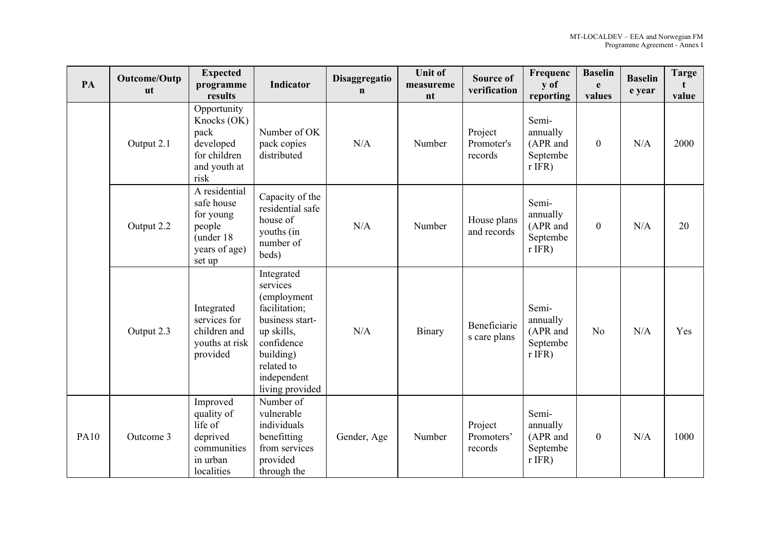| PA          | Outcome/Outp<br><b>ut</b> | <b>Expected</b><br>programme<br>results                                                     | Indicator                                                                                                                                                          | Disaggregatio<br>$\mathbf n$ | <b>Unit of</b><br>measureme<br>nt | <b>Source of</b><br>verification | Frequenc<br>y of<br>reporting                         | <b>Baselin</b><br>e<br>values | <b>Baselin</b><br>e year | <b>Targe</b><br>value |
|-------------|---------------------------|---------------------------------------------------------------------------------------------|--------------------------------------------------------------------------------------------------------------------------------------------------------------------|------------------------------|-----------------------------------|----------------------------------|-------------------------------------------------------|-------------------------------|--------------------------|-----------------------|
|             | Output 2.1                | Opportunity<br>Knocks (OK)<br>pack<br>developed<br>for children<br>and youth at<br>risk     | Number of OK<br>pack copies<br>distributed                                                                                                                         | N/A                          | Number                            | Project<br>Promoter's<br>records | Semi-<br>annually<br>(APR and<br>Septembe<br>$r$ IFR) | $\mathbf{0}$                  | N/A                      | 2000                  |
|             | Output 2.2                | A residential<br>safe house<br>for young<br>people<br>(under 18)<br>years of age)<br>set up | Capacity of the<br>residential safe<br>house of<br>youths (in<br>number of<br>beds)                                                                                | N/A                          | Number                            | House plans<br>and records       | Semi-<br>annually<br>(APR and<br>Septembe<br>$r$ IFR) | $\mathbf{0}$                  | N/A                      | 20                    |
|             | Output 2.3                | Integrated<br>services for<br>children and<br>youths at risk<br>provided                    | Integrated<br>services<br>(employment<br>facilitation;<br>business start-<br>up skills,<br>confidence<br>building)<br>related to<br>independent<br>living provided | N/A                          | Binary                            | Beneficiarie<br>s care plans     | Semi-<br>annually<br>(APR and<br>Septembe<br>$r$ IFR) | N <sub>o</sub>                | N/A                      | Yes                   |
| <b>PA10</b> | Outcome 3                 | Improved<br>quality of<br>life of<br>deprived<br>communities<br>in urban<br>localities      | Number of<br>vulnerable<br>individuals<br>benefitting<br>from services<br>provided<br>through the                                                                  | Gender, Age                  | Number                            | Project<br>Promoters'<br>records | Semi-<br>annually<br>(APR and<br>Septembe<br>$r$ IFR) | $\mathbf{0}$                  | N/A                      | 1000                  |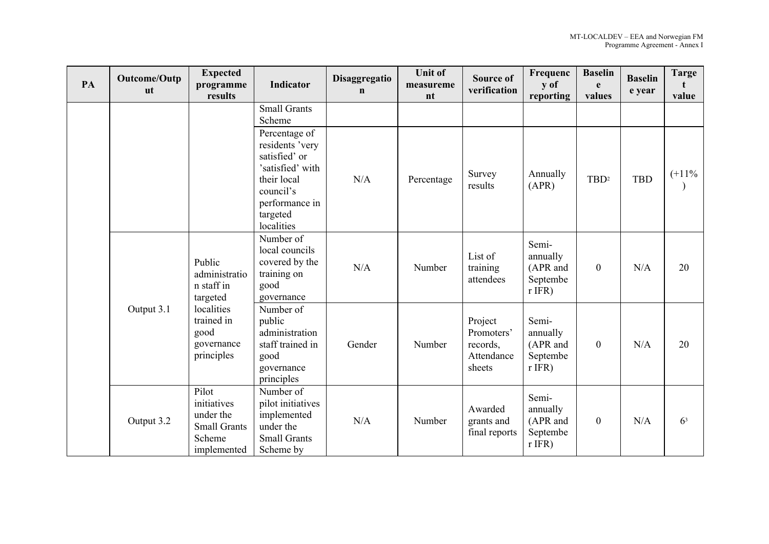| PA | Outcome/Outp<br><b>ut</b>                                                                                                                                     | <b>Expected</b><br>programme<br>results | <b>Indicator</b>                                                                                                                              | Disaggregatio<br>$\mathbf n$ | <b>Unit of</b><br>measureme<br>nt | <b>Source of</b><br>verification                          | Frequenc<br>y of<br>reporting                         | <b>Baselin</b><br>e<br>values | <b>Baselin</b><br>e year | <b>Targe</b><br>value |
|----|---------------------------------------------------------------------------------------------------------------------------------------------------------------|-----------------------------------------|-----------------------------------------------------------------------------------------------------------------------------------------------|------------------------------|-----------------------------------|-----------------------------------------------------------|-------------------------------------------------------|-------------------------------|--------------------------|-----------------------|
|    |                                                                                                                                                               |                                         | <b>Small Grants</b><br>Scheme                                                                                                                 |                              |                                   |                                                           |                                                       |                               |                          |                       |
|    |                                                                                                                                                               |                                         | Percentage of<br>residents 'very<br>satisfied' or<br>'satisfied' with<br>their local<br>council's<br>performance in<br>targeted<br>localities | N/A                          | Percentage                        | Survey<br>results                                         | Annually<br>(APR)                                     | $TBD^2$                       | <b>TBD</b>               | $(+11\%$              |
|    | Public<br>n staff in<br>targeted<br>localities<br>Output 3.1<br>trained in<br>good<br>principles<br>Pilot<br>initiatives<br>under the<br>Output 3.2<br>Scheme | administratio                           | Number of<br>local councils<br>covered by the<br>training on<br>good<br>governance                                                            | N/A                          | Number                            | List of<br>training<br>attendees                          | Semi-<br>annually<br>(APR and<br>Septembe<br>$r$ IFR) | $\mathbf{0}$                  | N/A                      | 20                    |
|    |                                                                                                                                                               | governance                              | Number of<br>public<br>administration<br>staff trained in<br>good<br>governance<br>principles                                                 | Gender                       | Number                            | Project<br>Promoters'<br>records,<br>Attendance<br>sheets | Semi-<br>annually<br>(APR and<br>Septembe<br>$r$ IFR) | $\mathbf{0}$                  | N/A                      | 20                    |
|    |                                                                                                                                                               | <b>Small Grants</b><br>implemented      | Number of<br>pilot initiatives<br>implemented<br>under the<br><b>Small Grants</b><br>Scheme by                                                | N/A                          | Number                            | Awarded<br>grants and<br>final reports                    | Semi-<br>annually<br>(APR and<br>Septembe<br>$r$ IFR) | $\mathbf{0}$                  | N/A                      | 6 <sup>3</sup>        |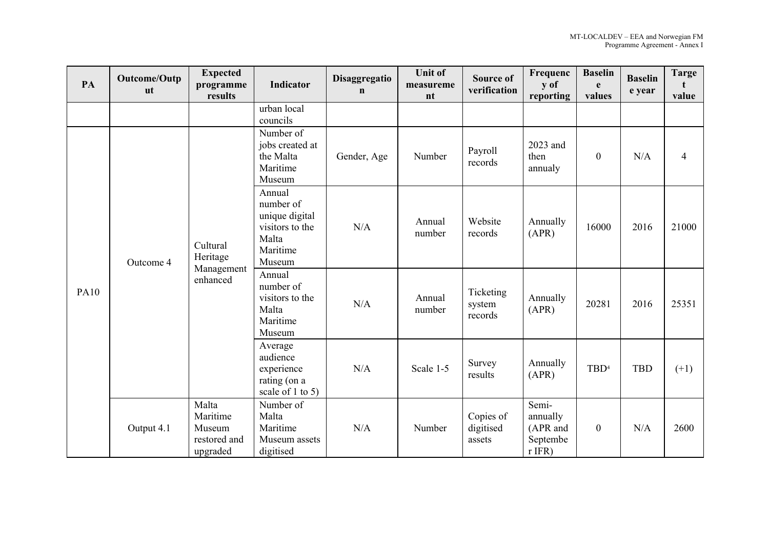| PA          | Outcome/Outp<br><b>ut</b> | <b>Expected</b><br>programme<br>results                 | Indicator                                                                               | Disaggregatio<br>$\mathbf n$ | <b>Unit of</b><br>measureme<br>nt | <b>Source of</b><br>verification | Frequenc<br>y of<br>reporting                         | <b>Baselin</b><br>e<br>values | <b>Baselin</b><br>e year | <b>Targe</b><br>t<br>value |
|-------------|---------------------------|---------------------------------------------------------|-----------------------------------------------------------------------------------------|------------------------------|-----------------------------------|----------------------------------|-------------------------------------------------------|-------------------------------|--------------------------|----------------------------|
|             |                           |                                                         | urban local<br>councils                                                                 |                              |                                   |                                  |                                                       |                               |                          |                            |
|             |                           | Cultural<br>Heritage<br>Management<br>enhanced          | Number of<br>jobs created at<br>the Malta<br>Maritime<br>Museum                         | Gender, Age                  | Number                            | Payroll<br>records               | 2023 and<br>then<br>annualy                           | $\boldsymbol{0}$              | N/A                      | $\overline{4}$             |
| <b>PA10</b> | Outcome 4                 |                                                         | Annual<br>number of<br>unique digital<br>visitors to the<br>Malta<br>Maritime<br>Museum | N/A                          | Annual<br>number                  | Website<br>records               | Annually<br>(APR)                                     | 16000                         | 2016                     | 21000                      |
|             |                           |                                                         | Annual<br>number of<br>visitors to the<br>Malta<br>Maritime<br>Museum                   | N/A                          | Annual<br>number                  | Ticketing<br>system<br>records   | Annually<br>(APR)                                     | 20281                         | 2016                     | 25351                      |
|             |                           |                                                         | Average<br>audience<br>experience<br>rating (on a<br>scale of 1 to 5)                   | N/A                          | Scale 1-5                         | Survey<br>results                | Annually<br>(APR)                                     | TBD <sup>4</sup>              | <b>TBD</b>               | $(+1)$                     |
|             | Output 4.1                | Malta<br>Maritime<br>Museum<br>restored and<br>upgraded | Number of<br>Malta<br>Maritime<br>Museum assets<br>digitised                            | N/A                          | Number                            | Copies of<br>digitised<br>assets | Semi-<br>annually<br>(APR and<br>Septembe<br>$r$ IFR) | $\boldsymbol{0}$              | N/A                      | 2600                       |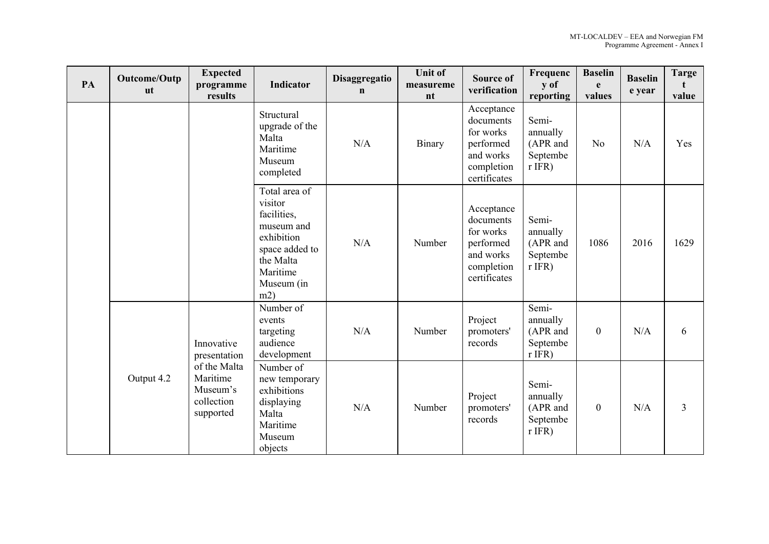| PA | Outcome/Outp<br><b>ut</b>                                                                                   | <b>Expected</b><br>programme<br>results                     | Indicator                                                                                                                           | Disaggregatio<br>$\mathbf n$ | <b>Unit of</b><br>measureme<br>nt | <b>Source of</b><br>verification                                                             | Frequenc<br>y of<br>reporting                         | <b>Baselin</b><br>e<br>values | <b>Baselin</b><br>e year | <b>Targe</b><br>value |
|----|-------------------------------------------------------------------------------------------------------------|-------------------------------------------------------------|-------------------------------------------------------------------------------------------------------------------------------------|------------------------------|-----------------------------------|----------------------------------------------------------------------------------------------|-------------------------------------------------------|-------------------------------|--------------------------|-----------------------|
|    |                                                                                                             |                                                             | Structural<br>upgrade of the<br>Malta<br>Maritime<br>Museum<br>completed                                                            | N/A                          | Binary                            | Acceptance<br>documents<br>for works<br>performed<br>and works<br>completion<br>certificates | Semi-<br>annually<br>(APR and<br>Septembe<br>$r$ IFR) | N <sub>o</sub>                | N/A                      | Yes                   |
|    |                                                                                                             |                                                             | Total area of<br>visitor<br>facilities,<br>museum and<br>exhibition<br>space added to<br>the Malta<br>Maritime<br>Museum (in<br>m2) | N/A                          | Number                            | Acceptance<br>documents<br>for works<br>performed<br>and works<br>completion<br>certificates | Semi-<br>annually<br>(APR and<br>Septembe<br>$r$ IFR) | 1086                          | 2016                     | 1629                  |
|    | Innovative<br>presentation<br>of the Malta<br>Maritime<br>Output 4.2<br>Museum's<br>collection<br>supported | Number of<br>events<br>targeting<br>audience<br>development | N/A                                                                                                                                 | Number                       | Project<br>promoters'<br>records  | Semi-<br>annually<br>(APR and<br>Septembe<br>$r$ IFR)                                        | $\boldsymbol{0}$                                      | N/A                           | 6                        |                       |
|    |                                                                                                             |                                                             | Number of<br>new temporary<br>exhibitions<br>displaying<br>Malta<br>Maritime<br>Museum<br>objects                                   | N/A                          | Number                            | Project<br>promoters'<br>records                                                             | Semi-<br>annually<br>(APR and<br>Septembe<br>$r$ IFR) | $\boldsymbol{0}$              | N/A                      | 3                     |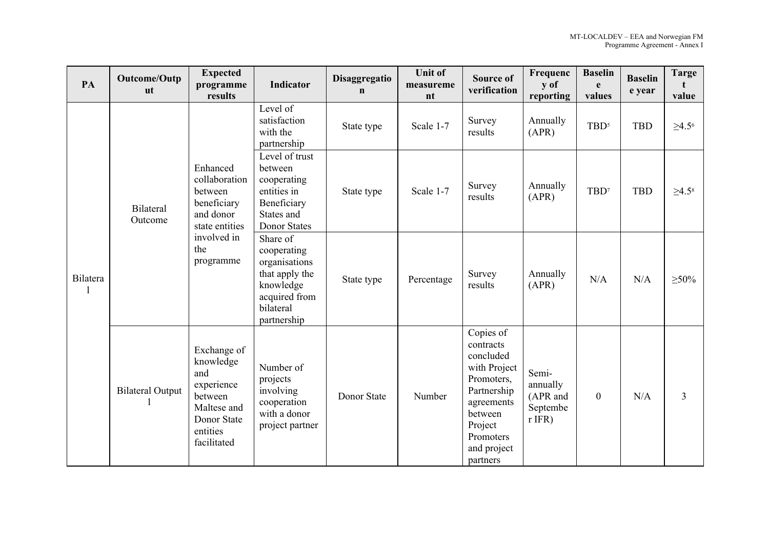| PA              | Outcome/Outp<br><b>ut</b>   | <b>Expected</b><br>programme<br>results                                                                               | Indicator                                                                                                            | Disaggregatio<br>$\mathbf n$ | <b>Unit of</b><br>measureme<br>nt | <b>Source of</b><br>verification                                                                                                                             | Frequenc<br>y of<br>reporting                         | <b>Baselin</b><br>e<br>values | <b>Baselin</b><br>e year | <b>Targe</b><br>value |
|-----------------|-----------------------------|-----------------------------------------------------------------------------------------------------------------------|----------------------------------------------------------------------------------------------------------------------|------------------------------|-----------------------------------|--------------------------------------------------------------------------------------------------------------------------------------------------------------|-------------------------------------------------------|-------------------------------|--------------------------|-----------------------|
|                 |                             | Enhanced<br>collaboration<br>between<br>beneficiary<br>and donor<br>state entities<br>involved in<br>the<br>programme | Level of<br>satisfaction<br>with the<br>partnership                                                                  | State type                   | Scale 1-7                         | Survey<br>results                                                                                                                                            | Annually<br>(APR)                                     | $TBD^5$                       | <b>TBD</b>               | $\geq 4.5^6$          |
| <b>Bilatera</b> | <b>Bilateral</b><br>Outcome |                                                                                                                       | Level of trust<br>between<br>cooperating<br>entities in<br>Beneficiary<br>States and<br><b>Donor States</b>          | State type                   | Scale 1-7                         | Survey<br>results                                                                                                                                            | Annually<br>(APR)                                     | TBD <sup>7</sup>              | <b>TBD</b>               | $\geq 4.5^8$          |
|                 |                             |                                                                                                                       | Share of<br>cooperating<br>organisations<br>that apply the<br>knowledge<br>acquired from<br>bilateral<br>partnership | State type                   | Percentage                        | Survey<br>results                                                                                                                                            | Annually<br>(APR)                                     | N/A                           | N/A                      | $\geq 50\%$           |
|                 | <b>Bilateral Output</b>     | Exchange of<br>knowledge<br>and<br>experience<br>between<br>Maltese and<br>Donor State<br>entities<br>facilitated     | Number of<br>projects<br>involving<br>cooperation<br>with a donor<br>project partner                                 | Donor State                  | Number                            | Copies of<br>contracts<br>concluded<br>with Project<br>Promoters,<br>Partnership<br>agreements<br>between<br>Project<br>Promoters<br>and project<br>partners | Semi-<br>annually<br>(APR and<br>Septembe<br>$r$ IFR) | $\mathbf{0}$                  | N/A                      | 3                     |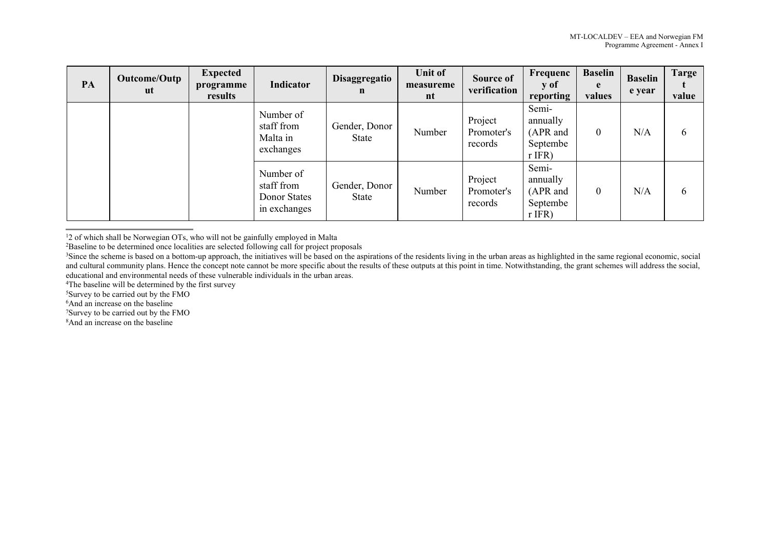| PA | Outcome/Outp<br>ut | <b>Expected</b><br>programme<br>results | Indicator                                               | Disaggregatio<br>$\mathbf n$ | Unit of<br>measureme<br>nt | Source of<br>verification        | Frequenc<br>y of<br>reporting                         | <b>Baselin</b><br>e<br>values | <b>Baselin</b><br>e year | Targe<br>value |
|----|--------------------|-----------------------------------------|---------------------------------------------------------|------------------------------|----------------------------|----------------------------------|-------------------------------------------------------|-------------------------------|--------------------------|----------------|
|    |                    |                                         | Number of<br>staff from<br>Malta in<br>exchanges        | Gender, Donor<br>State       | Number                     | Project<br>Promoter's<br>records | Semi-<br>annually<br>(APR and<br>Septembe<br>$r$ IFR) | $\theta$                      | N/A                      | $\mathfrak b$  |
|    |                    |                                         | Number of<br>staff from<br>Donor States<br>in exchanges | Gender, Donor<br>State       | Number                     | Project<br>Promoter's<br>records | Semi-<br>annually<br>(APR and<br>Septembe<br>$r$ IFR) | $\overline{0}$                | N/A                      | 6              |

<sup>1</sup>2 of which shall be Norwegian OTs, who will not be gainfully employed in Malta

<sup>4</sup>The baseline will be determined by the first survey

<sup>5</sup>Survey to be carried out by the FMO

<sup>6</sup>And an increase on the baseline

<sup>7</sup>Survey to be carried out by the FMO

8And an increase on the baseline

<sup>&</sup>lt;sup>2</sup>Baseline to be determined once localities are selected following call for project proposals

<sup>&</sup>lt;sup>3</sup>Since the scheme is based on a bottom-up approach, the initiatives will be based on the aspirations of the residents living in the urban areas as highlighted in the same regional economic, social and cultural community plans. Hence the concept note cannot be more specific about the results of these outputs at this point in time. Notwithstanding, the grant schemes will address the social, educational and environmental needs of these vulnerable individuals in the urban areas.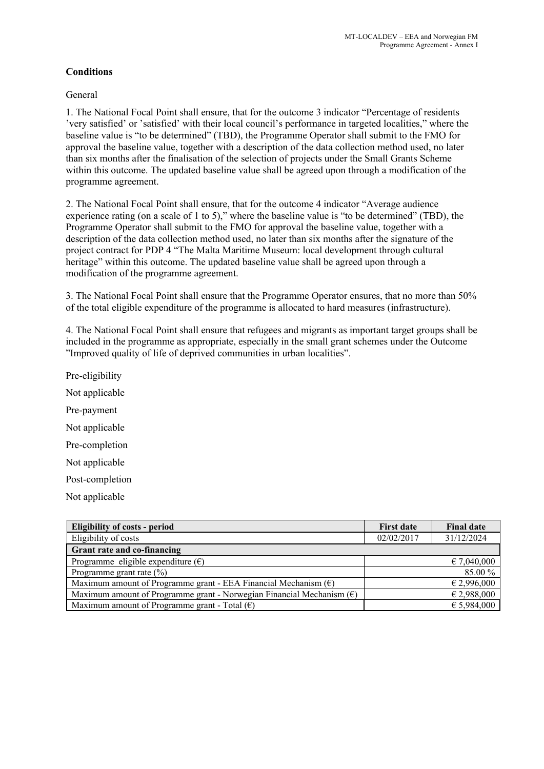# **Conditions**

General

1. The National Focal Point shall ensure, that for the outcome 3 indicator "Percentage of residents 'very satisfied' or 'satisfied' with their local council's performance in targeted localities," where the baseline value is "to be determined" (TBD), the Programme Operator shall submit to the FMO for approval the baseline value, together with a description of the data collection method used, no later than six months after the finalisation of the selection of projects under the Small Grants Scheme within this outcome. The updated baseline value shall be agreed upon through a modification of the programme agreement.

2. The National Focal Point shall ensure, that for the outcome 4 indicator "Average audience experience rating (on a scale of 1 to 5)," where the baseline value is "to be determined" (TBD), the Programme Operator shall submit to the FMO for approval the baseline value, together with a description of the data collection method used, no later than six months after the signature of the project contract for PDP 4 "The Malta Maritime Museum: local development through cultural heritage" within this outcome. The updated baseline value shall be agreed upon through a modification of the programme agreement.

3. The National Focal Point shall ensure that the Programme Operator ensures, that no more than 50% of the total eligible expenditure of the programme is allocated to hard measures (infrastructure).

4. The National Focal Point shall ensure that refugees and migrants as important target groups shall be included in the programme as appropriate, especially in the small grant schemes under the Outcome "Improved quality of life of deprived communities in urban localities".

Pre-eligibility Not applicable Pre-payment Not applicable Pre-completion Not applicable Post-completion

Not applicable

| <b>Eligibility of costs - period</b>                                           | <b>First date</b> | <b>Final date</b> |
|--------------------------------------------------------------------------------|-------------------|-------------------|
| Eligibility of costs                                                           | 02/02/2017        | 31/12/2024        |
| Grant rate and co-financing                                                    |                   |                   |
| Programme eligible expenditure $(\epsilon)$                                    |                   | € 7,040,000       |
| Programme grant rate $(\%)$                                                    |                   | 85.00 %           |
| Maximum amount of Programme grant - EEA Financial Mechanism $(\epsilon)$       |                   | € 2,996,000       |
| Maximum amount of Programme grant - Norwegian Financial Mechanism $(\epsilon)$ |                   | € 2,988,000       |
| Maximum amount of Programme grant - Total $(\epsilon)$                         |                   | € 5,984,000       |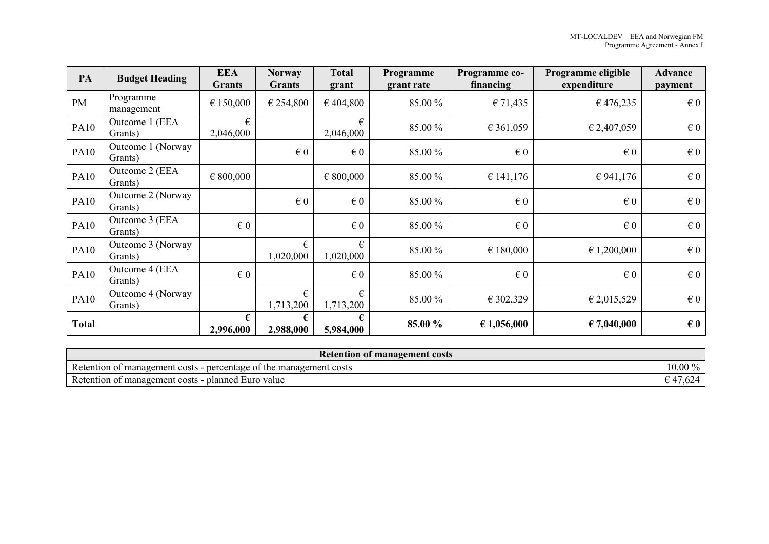| PA           | <b>Budget Heading</b>        | <b>EEA</b><br>Grants    | <b>Norway</b><br><b>Grants</b> | <b>Total</b><br>grant | Programme<br>grant rate | Programme co-<br>financing | Programme eligible<br>expenditure | <b>Advance</b><br>payment |
|--------------|------------------------------|-------------------------|--------------------------------|-----------------------|-------------------------|----------------------------|-----------------------------------|---------------------------|
| PM           | Programme<br>management      | € 150,000               | € 254,800                      | €404,800              | 85.00 %                 | € 71,435                   | €476,235                          | $\epsilon$ 0              |
| <b>PA10</b>  | Outcome 1 (EEA<br>Grants)    | €<br>2,046,000          |                                | €<br>2,046,000        | 85.00 %                 | € 361,059                  | € 2,407,059                       | $\in 0$                   |
| <b>PA10</b>  | Outcome 1 (Norway<br>Grants) |                         | $\in 0$                        | $\in 0$               | 85.00 %                 | $\epsilon$ 0               | $\epsilon$ <sub>0</sub>           | $\epsilon$ <sub>0</sub>   |
| <b>PA10</b>  | Outcome 2 (EEA<br>Grants)    | € 800,000               |                                | € 800,000             | 85.00 %                 | € 141,176                  | € 941,176                         | $\in 0$                   |
| <b>PA10</b>  | Outcome 2 (Norway<br>Grants) |                         | $\epsilon$ 0                   | $\in 0$               | 85.00 %                 | $\in 0$                    | $\in 0$                           | $\in 0$                   |
| <b>PA10</b>  | Outcome 3 (EEA<br>Grants)    | $\in 0$                 |                                | $\in 0$               | 85.00 %                 | $\in 0$                    | $\in 0$                           | $\epsilon$ 0              |
| <b>PA10</b>  | Outcome 3 (Norway<br>Grants) |                         | €<br>1,020,000                 | €<br>1,020,000        | 85.00 %                 | € 180,000                  | € 1,200,000                       | $\epsilon$ <sub>0</sub>   |
| <b>PA10</b>  | Outcome 4 (EEA<br>Grants)    | $\epsilon$ <sub>0</sub> |                                | $\in 0$               | 85.00 %                 | $\in 0$                    | $\epsilon$ <sub>0</sub>           | $\in 0$                   |
| <b>PA10</b>  | Outcome 4 (Norway<br>Grants) |                         | €<br>1,713,200                 | €<br>1,713,200        | 85.00 %                 | € 302,329                  | € 2,015,529                       | $\epsilon$ <sub>0</sub>   |
| <b>Total</b> |                              | €<br>2,996,000          | €<br>2,988,000                 | €<br>5,984,000        | 85.00 %                 | € 1,056,000                | € 7,040,000                       | $\epsilon$ 0              |

| <b>Retention of management costs</b>                                     |              |  |  |
|--------------------------------------------------------------------------|--------------|--|--|
| Retention of<br>percentage of the management costs<br>t management costs | 0.00%<br>ΖΩ. |  |  |
| Retention of management costs<br>planned.<br>. Euro value                |              |  |  |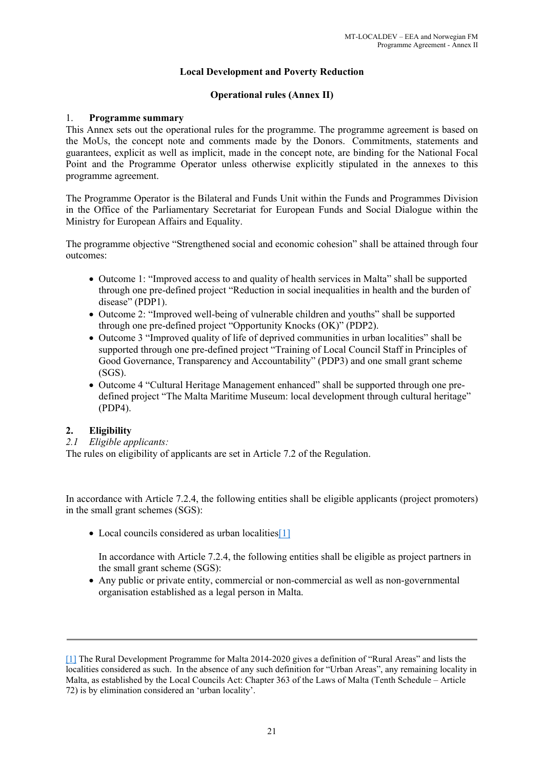# **Local Development and Poverty Reduction**

# **Operational rules (Annex II)**

# 1. **Programme summary**

This Annex sets out the operational rules for the programme. The programme agreement is based on the MoUs, the concept note and comments made by the Donors. Commitments, statements and guarantees, explicit as well as implicit, made in the concept note, are binding for the National Focal Point and the Programme Operator unless otherwise explicitly stipulated in the annexes to this programme agreement.

The Programme Operator is the Bilateral and Funds Unit within the Funds and Programmes Division in the Office of the Parliamentary Secretariat for European Funds and Social Dialogue within the Ministry for European Affairs and Equality.

The programme objective "Strengthened social and economic cohesion" shall be attained through four outcomes:

- Outcome 1: "Improved access to and quality of health services in Malta" shall be supported through one pre-defined project "Reduction in social inequalities in health and the burden of disease" (PDP1).
- Outcome 2: "Improved well-being of vulnerable children and youths" shall be supported through one pre-defined project "Opportunity Knocks (OK)" (PDP2).
- Outcome 3 "Improved quality of life of deprived communities in urban localities" shall be supported through one pre-defined project "Training of Local Council Staff in Principles of Good Governance, Transparency and Accountability" (PDP3) and one small grant scheme (SGS).
- Outcome 4 "Cultural Heritage Management enhanced" shall be supported through one predefined project "The Malta Maritime Museum: local development through cultural heritage" (PDP4).

# **2. Eligibility**

*2.1 Eligible applicants:*

The rules on eligibility of applicants are set in Article 7.2 of the Regulation.

In accordance with Article 7.2.4, the following entities shall be eligible applicants (project promoters) in the small grant schemes (SGS):

• Local councils considered as urban localities[1]

In accordance with Article 7.2.4, the following entities shall be eligible as project partners in the small grant scheme (SGS):

 Any public or private entity, commercial or non-commercial as well as non-governmental organisation established as a legal person in Malta.

<sup>[1]</sup> The Rural Development Programme for Malta 2014-2020 gives a definition of "Rural Areas" and lists the localities considered as such. In the absence of any such definition for "Urban Areas", any remaining locality in Malta, as established by the Local Councils Act: Chapter 363 of the Laws of Malta (Tenth Schedule – Article 72) is by elimination considered an 'urban locality'.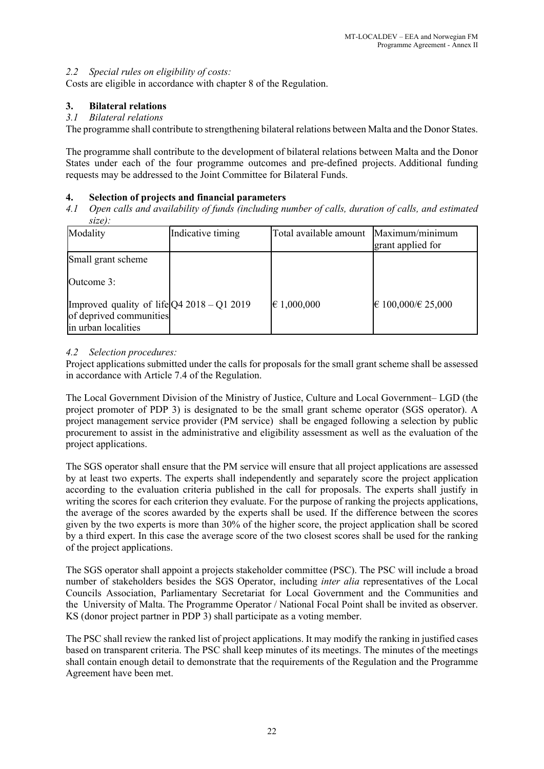# *2.2 Special rules on eligibility of costs:*

Costs are eligible in accordance with chapter 8 of the Regulation.

# **3. Bilateral relations**

# *3.1 Bilateral relations*

The programme shall contribute to strengthening bilateral relations between Malta and the Donor States.

The programme shall contribute to the development of bilateral relations between Malta and the Donor States under each of the four programme outcomes and pre-defined projects. Additional funding requests may be addressed to the Joint Committee for Bilateral Funds.

# **4. Selection of projects and financial parameters**

*4.1 Open calls and availability of funds (including number of calls, duration of calls, and estimated size):*

| Modality                                                                                          | Indicative timing | Total available amount | Maximum/minimum<br>grant applied for |
|---------------------------------------------------------------------------------------------------|-------------------|------------------------|--------------------------------------|
| Small grant scheme<br>Outcome 3:                                                                  |                   |                        |                                      |
| [Improved quality of life $[Q4 2018 - Q1 2019]$<br>of deprived communities<br>in urban localities |                   | $\in$ 1,000,000        | $€ 100,000 \times 25,000$            |

# *4.2 Selection procedures:*

Project applications submitted under the calls for proposals for the small grant scheme shall be assessed in accordance with Article 7.4 of the Regulation.

The Local Government Division of the Ministry of Justice, Culture and Local Government– LGD (the project promoter of PDP 3) is designated to be the small grant scheme operator (SGS operator). A project management service provider (PM service) shall be engaged following a selection by public procurement to assist in the administrative and eligibility assessment as well as the evaluation of the project applications.

The SGS operator shall ensure that the PM service will ensure that all project applications are assessed by at least two experts. The experts shall independently and separately score the project application according to the evaluation criteria published in the call for proposals. The experts shall justify in writing the scores for each criterion they evaluate. For the purpose of ranking the projects applications, the average of the scores awarded by the experts shall be used. If the difference between the scores given by the two experts is more than 30% of the higher score, the project application shall be scored by a third expert. In this case the average score of the two closest scores shall be used for the ranking of the project applications.

The SGS operator shall appoint a projects stakeholder committee (PSC). The PSC will include a broad number of stakeholders besides the SGS Operator, including *inter alia* representatives of the Local Councils Association, Parliamentary Secretariat for Local Government and the Communities and the University of Malta. The Programme Operator / National Focal Point shall be invited as observer. KS (donor project partner in PDP 3) shall participate as a voting member.

The PSC shall review the ranked list of project applications. It may modify the ranking in justified cases based on transparent criteria. The PSC shall keep minutes of its meetings. The minutes of the meetings shall contain enough detail to demonstrate that the requirements of the Regulation and the Programme Agreement have been met.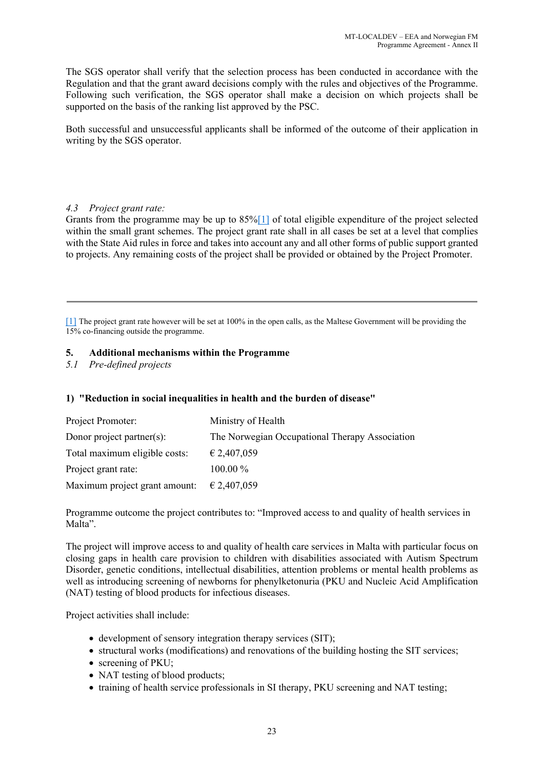The SGS operator shall verify that the selection process has been conducted in accordance with the Regulation and that the grant award decisions comply with the rules and objectives of the Programme. Following such verification, the SGS operator shall make a decision on which projects shall be supported on the basis of the ranking list approved by the PSC.

Both successful and unsuccessful applicants shall be informed of the outcome of their application in writing by the SGS operator.

# *4.3 Project grant rate:*

Grants from the programme may be up to 85%[1] of total eligible expenditure of the project selected within the small grant schemes. The project grant rate shall in all cases be set at a level that complies with the State Aid rules in force and takes into account any and all other forms of public support granted to projects. Any remaining costs of the project shall be provided or obtained by the Project Promoter.

[1] The project grant rate however will be set at 100% in the open calls, as the Maltese Government will be providing the 15% co-financing outside the programme.

# **5. Additional mechanisms within the Programme**

*5.1 Pre-defined projects*

# **1) "Reduction in social inequalities in health and the burden of disease"**

| Project Promoter:             | Ministry of Health                             |
|-------------------------------|------------------------------------------------|
| Donor project partner(s):     | The Norwegian Occupational Therapy Association |
| Total maximum eligible costs: | $\epsilon$ 2,407,059                           |
| Project grant rate:           | $100.00\%$                                     |
| Maximum project grant amount: | € 2,407,059                                    |

Programme outcome the project contributes to: "Improved access to and quality of health services in Malta".

The project will improve access to and quality of health care services in Malta with particular focus on closing gaps in health care provision to children with disabilities associated with Autism Spectrum Disorder, genetic conditions, intellectual disabilities, attention problems or mental health problems as well as introducing screening of newborns for phenylketonuria (PKU and Nucleic Acid Amplification (NAT) testing of blood products for infectious diseases.

Project activities shall include:

- development of sensory integration therapy services (SIT);
- structural works (modifications) and renovations of the building hosting the SIT services;
- screening of PKU;
- NAT testing of blood products;
- training of health service professionals in SI therapy, PKU screening and NAT testing;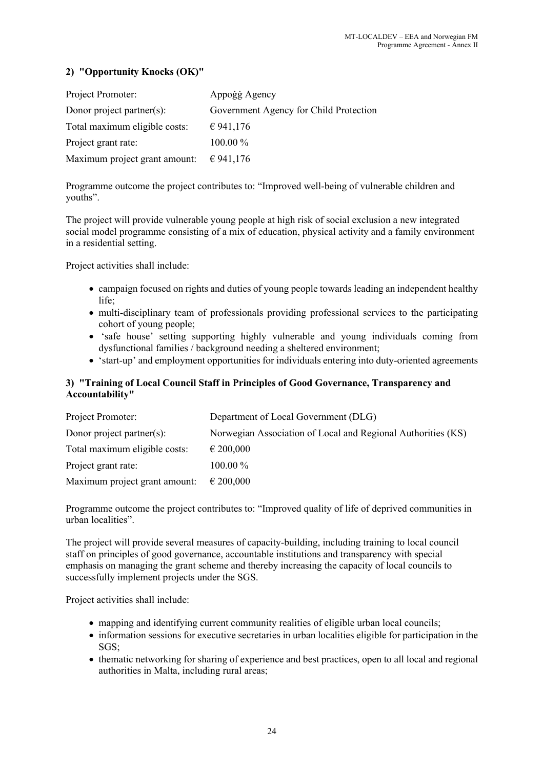# **2) "Opportunity Knocks (OK)"**

| Project Promoter:             | Appoġġ Agency                          |
|-------------------------------|----------------------------------------|
| Donor project partner(s):     | Government Agency for Child Protection |
| Total maximum eligible costs: | € 941,176                              |
| Project grant rate:           | $100.00\%$                             |
| Maximum project grant amount: | € 941,176                              |

Programme outcome the project contributes to: "Improved well-being of vulnerable children and youths".

The project will provide vulnerable young people at high risk of social exclusion a new integrated social model programme consisting of a mix of education, physical activity and a family environment in a residential setting.

Project activities shall include:

- campaign focused on rights and duties of young people towards leading an independent healthy life;
- multi-disciplinary team of professionals providing professional services to the participating cohort of young people;
- 'safe house' setting supporting highly vulnerable and young individuals coming from dysfunctional families / background needing a sheltered environment;
- 'start-up' and employment opportunities for individuals entering into duty-oriented agreements

# **3) "Training of Local Council Staff in Principles of Good Governance, Transparency and Accountability"**

| Project Promoter:             | Department of Local Government (DLG)                         |
|-------------------------------|--------------------------------------------------------------|
| Donor project partner(s):     | Norwegian Association of Local and Regional Authorities (KS) |
| Total maximum eligible costs: | $\epsilon$ 200,000                                           |
| Project grant rate:           | $100.00\%$                                                   |
| Maximum project grant amount: | $\epsilon$ 200,000                                           |

Programme outcome the project contributes to: "Improved quality of life of deprived communities in urban localities".

The project will provide several measures of capacity-building, including training to local council staff on principles of good governance, accountable institutions and transparency with special emphasis on managing the grant scheme and thereby increasing the capacity of local councils to successfully implement projects under the SGS.

Project activities shall include:

- mapping and identifying current community realities of eligible urban local councils;
- information sessions for executive secretaries in urban localities eligible for participation in the  $SGS$
- thematic networking for sharing of experience and best practices, open to all local and regional authorities in Malta, including rural areas;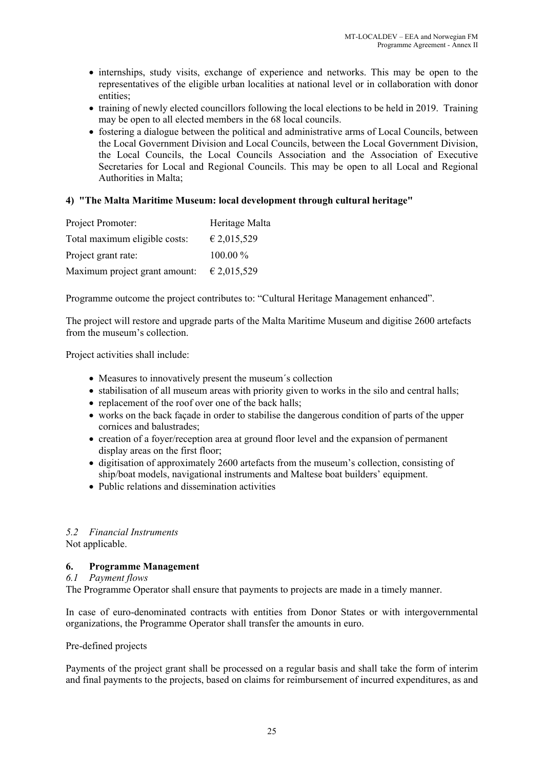- internships, study visits, exchange of experience and networks. This may be open to the representatives of the eligible urban localities at national level or in collaboration with donor entities;
- training of newly elected councillors following the local elections to be held in 2019. Training may be open to all elected members in the 68 local councils.
- fostering a dialogue between the political and administrative arms of Local Councils, between the Local Government Division and Local Councils, between the Local Government Division, the Local Councils, the Local Councils Association and the Association of Executive Secretaries for Local and Regional Councils. This may be open to all Local and Regional Authorities in Malta;

# **4) "The Malta Maritime Museum: local development through cultural heritage"**

| Project Promoter:             | Heritage Malta |
|-------------------------------|----------------|
| Total maximum eligible costs: | € 2,015,529    |
| Project grant rate:           | 100.00 %       |
| Maximum project grant amount: | € 2,015,529    |

Programme outcome the project contributes to: "Cultural Heritage Management enhanced".

The project will restore and upgrade parts of the Malta Maritime Museum and digitise 2600 artefacts from the museum's collection.

Project activities shall include:

- Measures to innovatively present the museum´s collection
- stabilisation of all museum areas with priority given to works in the silo and central halls;
- replacement of the roof over one of the back halls;
- works on the back façade in order to stabilise the dangerous condition of parts of the upper cornices and balustrades;
- creation of a foyer/reception area at ground floor level and the expansion of permanent display areas on the first floor;
- digitisation of approximately 2600 artefacts from the museum's collection, consisting of ship/boat models, navigational instruments and Maltese boat builders' equipment.
- Public relations and dissemination activities

# *5.2 Financial Instruments*

Not applicable.

# **6. Programme Management**

### *6.1 Payment flows*

The Programme Operator shall ensure that payments to projects are made in a timely manner.

In case of euro-denominated contracts with entities from Donor States or with intergovernmental organizations, the Programme Operator shall transfer the amounts in euro.

#### Pre-defined projects

Payments of the project grant shall be processed on a regular basis and shall take the form of interim and final payments to the projects, based on claims for reimbursement of incurred expenditures, as and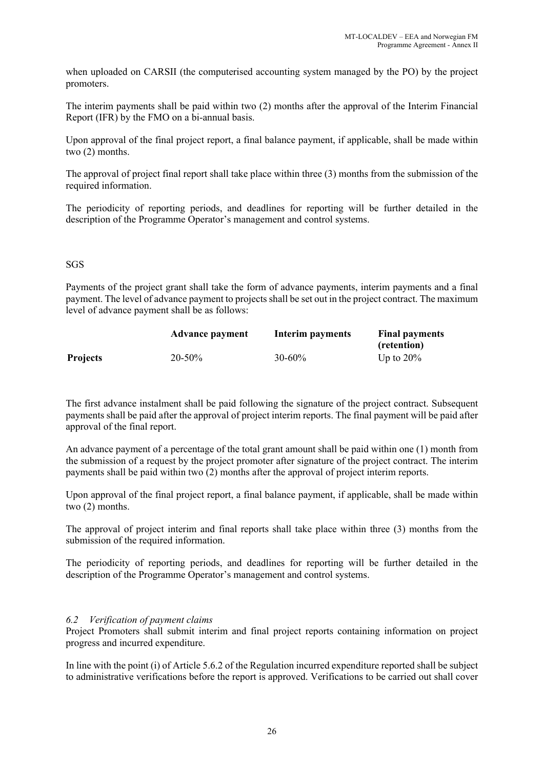when uploaded on CARSII (the computerised accounting system managed by the PO) by the project promoters.

The interim payments shall be paid within two (2) months after the approval of the Interim Financial Report (IFR) by the FMO on a bi-annual basis.

Upon approval of the final project report, a final balance payment, if applicable, shall be made within two (2) months.

The approval of project final report shall take place within three (3) months from the submission of the required information.

The periodicity of reporting periods, and deadlines for reporting will be further detailed in the description of the Programme Operator's management and control systems.

#### SGS

Payments of the project grant shall take the form of advance payments, interim payments and a final payment. The level of advance payment to projects shall be set out in the project contract. The maximum level of advance payment shall be as follows:

|                 | <b>Advance payment</b> | Interim payments | <b>Final payments</b> |  |
|-----------------|------------------------|------------------|-----------------------|--|
|                 |                        |                  | (retention)           |  |
| <b>Projects</b> | $20 - 50\%$            | $30 - 60\%$      | Up to $20\%$          |  |

The first advance instalment shall be paid following the signature of the project contract. Subsequent payments shall be paid after the approval of project interim reports. The final payment will be paid after approval of the final report.

An advance payment of a percentage of the total grant amount shall be paid within one (1) month from the submission of a request by the project promoter after signature of the project contract. The interim payments shall be paid within two (2) months after the approval of project interim reports.

Upon approval of the final project report, a final balance payment, if applicable, shall be made within two (2) months.

The approval of project interim and final reports shall take place within three (3) months from the submission of the required information.

The periodicity of reporting periods, and deadlines for reporting will be further detailed in the description of the Programme Operator's management and control systems.

#### *6.2 Verification of payment claims*

Project Promoters shall submit interim and final project reports containing information on project progress and incurred expenditure.

In line with the point (i) of Article 5.6.2 of the Regulation incurred expenditure reported shall be subject to administrative verifications before the report is approved. Verifications to be carried out shall cover